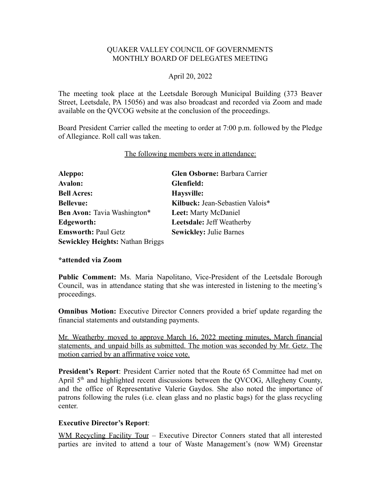### QUAKER VALLEY COUNCIL OF GOVERNMENTS MONTHLY BOARD OF DELEGATES MEETING

### April 20, 2022

The meeting took place at the Leetsdale Borough Municipal Building (373 Beaver Street, Leetsdale, PA 15056) and was also broadcast and recorded via Zoom and made available on the QVCOG website at the conclusion of the proceedings.

Board President Carrier called the meeting to order at 7:00 p.m. followed by the Pledge of Allegiance. Roll call was taken.

#### The following members were in attendance:

| Aleppo:                                 | Glen Osborne: Barbara Carrier    |
|-----------------------------------------|----------------------------------|
| <b>Avalon:</b>                          | Glenfield:                       |
| <b>Bell Acres:</b>                      | Haysville:                       |
| <b>Bellevue:</b>                        | Kilbuck: Jean-Sebastien Valois*  |
| Ben Avon: Tavia Washington*             | Leet: Marty McDaniel             |
| Edgeworth:                              | <b>Leetsdale: Jeff Weatherby</b> |
| <b>Emsworth: Paul Getz</b>              | <b>Sewickley: Julie Barnes</b>   |
| <b>Sewickley Heights: Nathan Briggs</b> |                                  |

#### **\*attended via Zoom**

**Public Comment:** Ms. Maria Napolitano, Vice-President of the Leetsdale Borough Council, was in attendance stating that she was interested in listening to the meeting's proceedings.

**Omnibus Motion:** Executive Director Conners provided a brief update regarding the financial statements and outstanding payments.

Mr. Weatherby moved to approve March 16, 2022 meeting minutes, March financial statements, and unpaid bills as submitted. The motion was seconded by Mr. Getz. The motion carried by an affirmative voice vote.

**President's Report**: President Carrier noted that the Route 65 Committee had met on April 5<sup>th</sup> and highlighted recent discussions between the QVCOG, Allegheny County, and the office of Representative Valerie Gaydos. She also noted the importance of patrons following the rules (i.e. clean glass and no plastic bags) for the glass recycling center.

#### **Executive Director's Report**:

WM Recycling Facility Tour - Executive Director Conners stated that all interested parties are invited to attend a tour of Waste Management's (now WM) Greenstar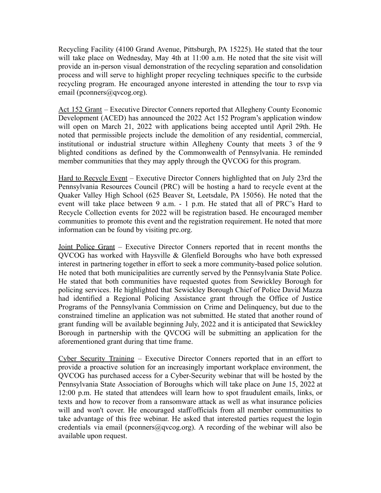Recycling Facility (4100 Grand Avenue, Pittsburgh, PA 15225). He stated that the tour will take place on Wednesday, May 4th at 11:00 a.m. He noted that the site visit will provide an in-person visual demonstration of the recycling separation and consolidation process and will serve to highlight proper recycling techniques specific to the curbside recycling program. He encouraged anyone interested in attending the tour to rsvp via email (pconners@qvcog.org).

Act 152 Grant – Executive Director Conners reported that Allegheny County Economic Development (ACED) has announced the 2022 Act 152 Program's application window will open on March 21, 2022 with applications being accepted until April 29th. He noted that permissible projects include the demolition of any residential, commercial, institutional or industrial structure within Allegheny County that meets 3 of the 9 blighted conditions as defined by the Commonwealth of Pennsylvania. He reminded member communities that they may apply through the QVCOG for this program.

Hard to Recycle Event – Executive Director Conners highlighted that on July 23rd the Pennsylvania Resources Council (PRC) will be hosting a hard to recycle event at the Quaker Valley High School (625 Beaver St, Leetsdale, PA 15056). He noted that the event will take place between 9 a.m. - 1 p.m. He stated that all of PRC's Hard to Recycle Collection events for 2022 will be registration based. He encouraged member communities to promote this event and the registration requirement. He noted that more information can be found by visiting prc.org.

Joint Police Grant – Executive Director Conners reported that in recent months the QVCOG has worked with Haysville & Glenfield Boroughs who have both expressed interest in partnering together in effort to seek a more community-based police solution. He noted that both municipalities are currently served by the Pennsylvania State Police. He stated that both communities have requested quotes from Sewickley Borough for policing services. He highlighted that Sewickley Borough Chief of Police David Mazza had identified a Regional Policing Assistance grant through the Office of Justice Programs of the Pennsylvania Commission on Crime and Delinquency, but due to the constrained timeline an application was not submitted. He stated that another round of grant funding will be available beginning July, 2022 and it is anticipated that Sewickley Borough in partnership with the QVCOG will be submitting an application for the aforementioned grant during that time frame.

Cyber Security Training – Executive Director Conners reported that in an effort to provide a proactive solution for an increasingly important workplace environment, the QVCOG has purchased access for a Cyber-Security webinar that will be hosted by the Pennsylvania State Association of Boroughs which will take place on June 15, 2022 at 12:00 p.m. He stated that attendees will learn how to spot fraudulent emails, links, or texts and how to recover from a ransomware attack as well as what insurance policies will and won't cover. He encouraged staff/officials from all member communities to take advantage of this free webinar. He asked that interested parties request the login credentials via email (pconners@qvcog.org). A recording of the webinar will also be available upon request.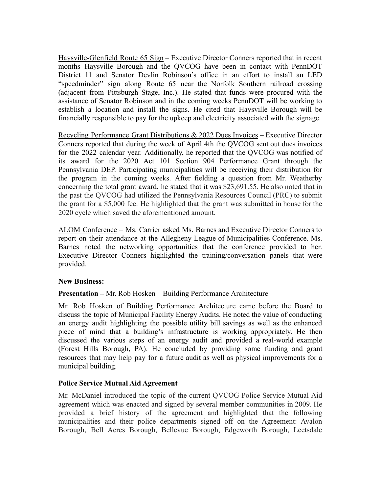Haysville-Glenfield Route 65 Sign – Executive Director Conners reported that in recent months Haysville Borough and the QVCOG have been in contact with PennDOT District 11 and Senator Devlin Robinson's office in an effort to install an LED "speedminder" sign along Route 65 near the Norfolk Southern railroad crossing (adjacent from Pittsburgh Stage, Inc.). He stated that funds were procured with the assistance of Senator Robinson and in the coming weeks PennDOT will be working to establish a location and install the signs. He cited that Haysville Borough will be financially responsible to pay for the upkeep and electricity associated with the signage.

Recycling Performance Grant Distributions & 2022 Dues Invoices – Executive Director Conners reported that during the week of April 4th the QVCOG sent out dues invoices for the 2022 calendar year. Additionally, he reported that the QVCOG was notified of its award for the 2020 Act 101 Section 904 Performance Grant through the Pennsylvania DEP. Participating municipalities will be receiving their distribution for the program in the coming weeks. After fielding a question from Mr. Weatherby concerning the total grant award, he stated that it was \$23,691.55. He also noted that in the past the QVCOG had utilized the Pennsylvania Resources Council (PRC) to submit the grant for a \$5,000 fee. He highlighted that the grant was submitted in house for the 2020 cycle which saved the aforementioned amount.

ALOM Conference – Ms. Carrier asked Ms. Barnes and Executive Director Conners to report on their attendance at the Allegheny League of Municipalities Conference. Ms. Barnes noted the networking opportunities that the conference provided to her. Executive Director Conners highlighted the training/conversation panels that were provided.

## **New Business:**

## **Presentation –** Mr. Rob Hosken – Building Performance Architecture

Mr. Rob Hosken of Building Performance Architecture came before the Board to discuss the topic of Municipal Facility Energy Audits. He noted the value of conducting an energy audit highlighting the possible utility bill savings as well as the enhanced piece of mind that a building's infrastructure is working appropriately. He then discussed the various steps of an energy audit and provided a real-world example (Forest Hills Borough, PA). He concluded by providing some funding and grant resources that may help pay for a future audit as well as physical improvements for a municipal building.

#### **Police Service Mutual Aid Agreement**

Mr. McDaniel introduced the topic of the current QVCOG Police Service Mutual Aid agreement which was enacted and signed by several member communities in 2009. He provided a brief history of the agreement and highlighted that the following municipalities and their police departments signed off on the Agreement: Avalon Borough, Bell Acres Borough, Bellevue Borough, Edgeworth Borough, Leetsdale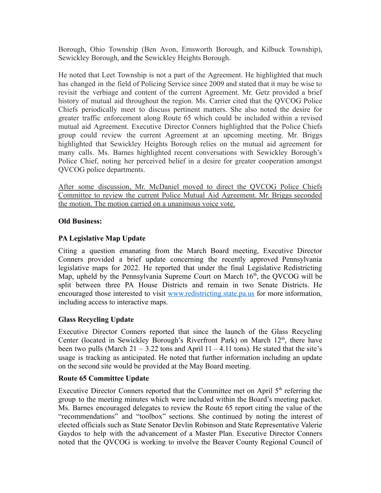Borough, Ohio Township (Ben Avon, Emsworth Borough, and Kilbuck Township), Sewickley Borough, and the Sewickley Heights Borough.

He noted that Leet Township is not a part of the Agreement. He highlighted that much has changed in the field of Policing Service since 2009 and stated that it may be wise to revisit the verbiage and content of the current Agreement. Mr. Getz provided a brief history of mutual aid throughout the region. Ms. Carrier cited that the QVCOG Police Chiefs periodically meet to discuss pertinent matters. She also noted the desire for greater traffic enforcement along Route 65 which could be included within a revised mutual aid Agreement. Executive Director Conners highlighted that the Police Chiefs group could review the current Agreement at an upcoming meeting. Mr. Briggs highlighted that Sewickley Heights Borough relies on the mutual aid agreement for many calls. Ms. Barnes highlighted recent conversations with Sewickley Borough's Police Chief, noting her perceived belief in a desire for greater cooperation amongst QVCOG police departments.

After some discussion, Mr. McDaniel moved to direct the QVCOG Police Chiefs Committee to review the current Police Mutual Aid Agreement. Mr. Briggs seconded the motion. The motion carried on a unanimous voice vote.

## **Old Business:**

# **PA Legislative Map Update**

Citing a question emanating from the March Board meeting, Executive Director Conners provided a brief update concerning the recently approved Pennsylvania legislative maps for 2022. He reported that under the final Legislative Redistricting Map, upheld by the Pennsylvania Supreme Court on March  $16<sup>th</sup>$ , the QVCOG will be split between three PA House Districts and remain in two Senate Districts. He encouraged those interested to visit [www.redistricting.state.pa.us](http://www.redistricting.state.pa.us) for more information, including access to interactive maps.

## **Glass Recycling Update**

Executive Director Conners reported that since the launch of the Glass Recycling Center (located in Sewickley Borough's Riverfront Park) on March 12<sup>th</sup>, there have been two pulls (March  $21 - 3.22$  tons and April  $11 - 4.11$  tons). He stated that the site's usage is tracking as anticipated. He noted that further information including an update on the second site would be provided at the May Board meeting.

## **Route 65 Committee Update**

Executive Director Conners reported that the Committee met on April  $5<sup>th</sup>$  referring the group to the meeting minutes which were included within the Board's meeting packet. Ms. Barnes encouraged delegates to review the Route 65 report citing the value of the "recommendations" and "toolbox" sections. She continued by noting the interest of elected officials such as State Senator Devlin Robinson and State Representative Valerie Gaydos to help with the advancement of a Master Plan. Executive Director Conners noted that the QVCOG is working to involve the Beaver County Regional Council of